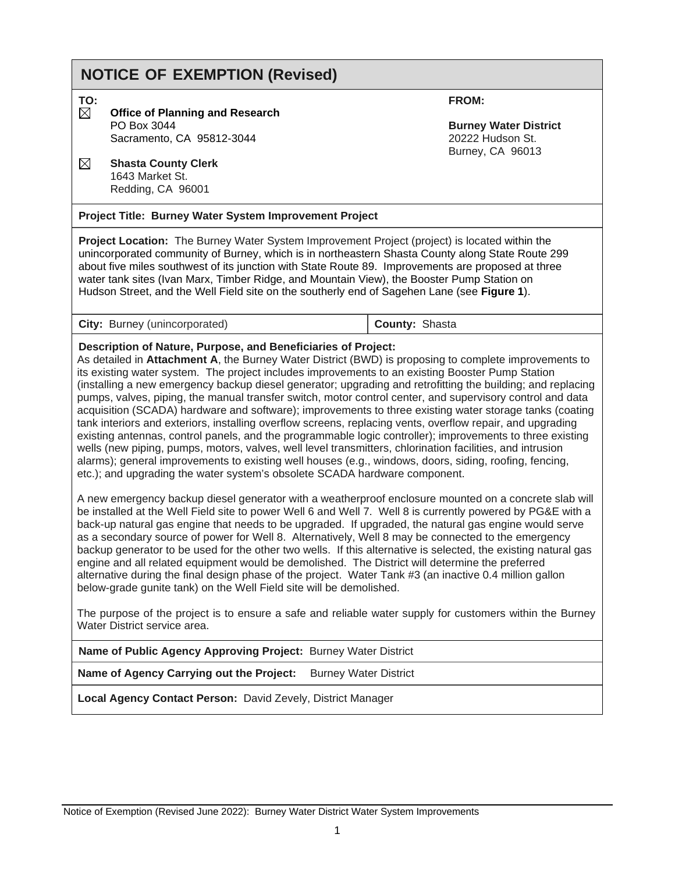# **NOTICE OF EXEMPTION (Revised)**

**TO:**

- **Office of Planning and Research** PO Box 3044 Sacramento, CA 95812-3044
- **Shasta County Clerk** 1643 Market St. Redding, CA 96001

**Project Title: Burney Water System Improvement Project**

**Project Location:** The Burney Water System Improvement Project (project) is located within the unincorporated community of Burney, which is in northeastern Shasta County along State Route 299 about five miles southwest of its junction with State Route 89. Improvements are proposed at three water tank sites (Ivan Marx, Timber Ridge, and Mountain View), the Booster Pump Station on Hudson Street, and the Well Field site on the southerly end of Sagehen Lane (see **Figure 1**).

**City:** Burney (unincorporated) **County:** Shasta

#### **Description of Nature, Purpose, and Beneficiaries of Project:**

As detailed in **Attachment A**, the Burney Water District (BWD) is proposing to complete improvements to its existing water system. The project includes improvements to an existing Booster Pump Station (installing a new emergency backup diesel generator; upgrading and retrofitting the building; and replacing pumps, valves, piping, the manual transfer switch, motor control center, and supervisory control and data acquisition (SCADA) hardware and software); improvements to three existing water storage tanks (coating tank interiors and exteriors, installing overflow screens, replacing vents, overflow repair, and upgrading existing antennas, control panels, and the programmable logic controller); improvements to three existing wells (new piping, pumps, motors, valves, well level transmitters, chlorination facilities, and intrusion alarms); general improvements to existing well houses (e.g., windows, doors, siding, roofing, fencing, etc.); and upgrading the water system's obsolete SCADA hardware component.

A new emergency backup diesel generator with a weatherproof enclosure mounted on a concrete slab will be installed at the Well Field site to power Well 6 and Well 7. Well 8 is currently powered by PG&E with a back-up natural gas engine that needs to be upgraded. If upgraded, the natural gas engine would serve as a secondary source of power for Well 8. Alternatively, Well 8 may be connected to the emergency backup generator to be used for the other two wells. If this alternative is selected, the existing natural gas engine and all related equipment would be demolished. The District will determine the preferred alternative during the final design phase of the project. Water Tank #3 (an inactive 0.4 million gallon below-grade gunite tank) on the Well Field site will be demolished.

The purpose of the project is to ensure a safe and reliable water supply for customers within the Burney Water District service area.

**Name of Public Agency Approving Project:** Burney Water District

**Name of Agency Carrying out the Project:** Burney Water District

**Local Agency Contact Person:** David Zevely, District Manager

**FROM:**

**Burney Water District** 20222 Hudson St. Burney, CA 96013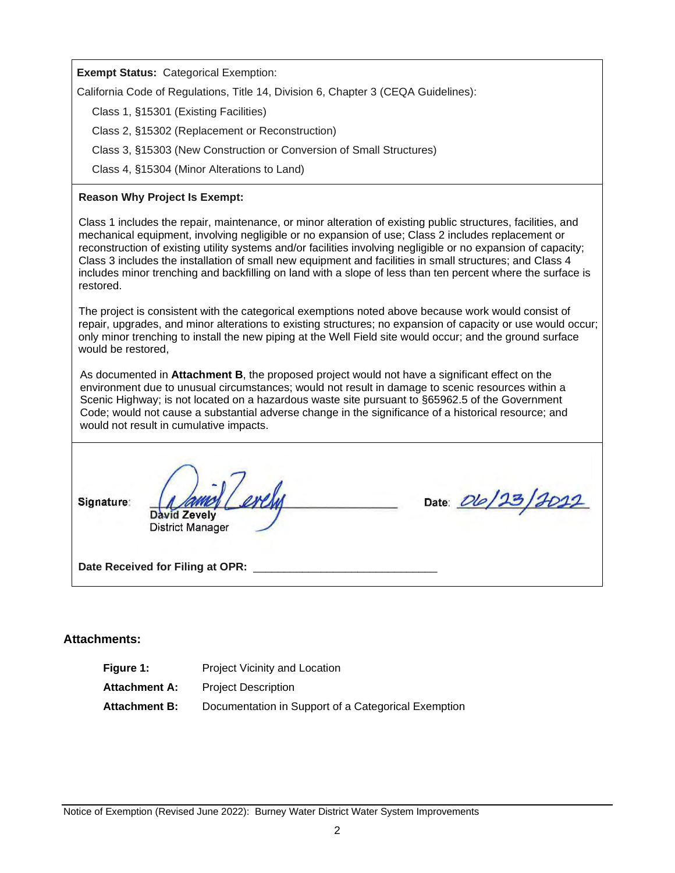**Exempt Status:** Categorical Exemption:

California Code of Regulations, Title 14, Division 6, Chapter 3 (CEQA Guidelines):

Class 1, §15301 (Existing Facilities)

Class 2, §15302 (Replacement or Reconstruction)

Class 3, §15303 (New Construction or Conversion of Small Structures)

Class 4, §15304 (Minor Alterations to Land)

#### **Reason Why Project Is Exempt:**

Class 1 includes the repair, maintenance, or minor alteration of existing public structures, facilities, and mechanical equipment, involving negligible or no expansion of use; Class 2 includes replacement or reconstruction of existing utility systems and/or facilities involving negligible or no expansion of capacity; Class 3 includes the installation of small new equipment and facilities in small structures; and Class 4 includes minor trenching and backfilling on land with a slope of less than ten percent where the surface is restored.

The project is consistent with the categorical exemptions noted above because work would consist of repair, upgrades, and minor alterations to existing structures; no expansion of capacity or use would occur; only minor trenching to install the new piping at the Well Field site would occur; and the ground surface would be restored,

As documented in **Attachment B**, the proposed project would not have a significant effect on the environment due to unusual circumstances; would not result in damage to scenic resources within a Scenic Highway; is not located on a hazardous waste site pursuant to §65962.5 of the Government Code; would not cause a substantial adverse change in the significance of a historical resource; and would not result in cumulative impacts.

Signature:

erely David Zevely **District Manager** 

Date: *Dlo 123/2012* 

Date Received for Filing at OPR:

## **Attachments:**

| <b>Project Vicinity and Location</b>                |
|-----------------------------------------------------|
| <b>Project Description</b>                          |
| Documentation in Support of a Categorical Exemption |
|                                                     |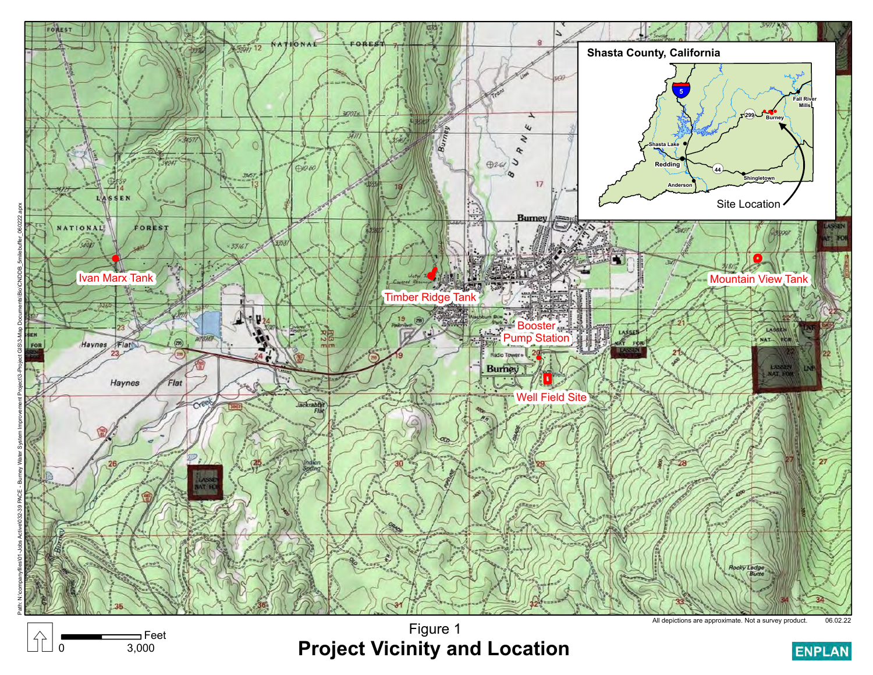

 $\equiv$ Feet<br>3,000

Figure 1 Figure 1<br> **Project Vicinity and Location**<br>
B<sub>ro</sub> and Location Elementary and Location

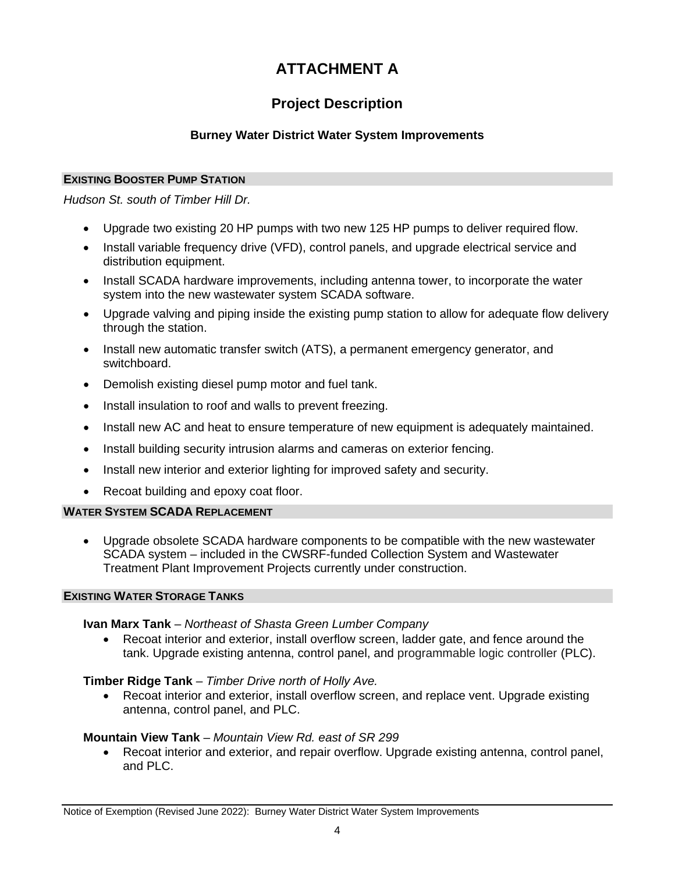## **ATTACHMENT A**

## **Project Description**

## **Burney Water District Water System Improvements**

## **EXISTING BOOSTER PUMP STATION**

*Hudson St. south of Timber Hill Dr.*

- Upgrade two existing 20 HP pumps with two new 125 HP pumps to deliver required flow.
- Install variable frequency drive (VFD), control panels, and upgrade electrical service and distribution equipment.
- Install SCADA hardware improvements, including antenna tower, to incorporate the water system into the new wastewater system SCADA software.
- Upgrade valving and piping inside the existing pump station to allow for adequate flow delivery through the station.
- Install new automatic transfer switch (ATS), a permanent emergency generator, and switchboard.
- Demolish existing diesel pump motor and fuel tank.
- Install insulation to roof and walls to prevent freezing.
- Install new AC and heat to ensure temperature of new equipment is adequately maintained.
- Install building security intrusion alarms and cameras on exterior fencing.
- Install new interior and exterior lighting for improved safety and security.
- Recoat building and epoxy coat floor.

## **WATER SYSTEM SCADA REPLACEMENT**

• Upgrade obsolete SCADA hardware components to be compatible with the new wastewater SCADA system – included in the CWSRF-funded Collection System and Wastewater Treatment Plant Improvement Projects currently under construction.

## **EXISTING WATER STORAGE TANKS**

## **Ivan Marx Tank** – *Northeast of Shasta Green Lumber Company*

• Recoat interior and exterior, install overflow screen, ladder gate, and fence around the tank. Upgrade existing antenna, control panel, and programmable logic controller (PLC).

## **Timber Ridge Tank** – *Timber Drive north of Holly Ave.*

• Recoat interior and exterior, install overflow screen, and replace vent. Upgrade existing antenna, control panel, and PLC.

## **Mountain View Tank** – *Mountain View Rd. east of SR 299*

• Recoat interior and exterior, and repair overflow. Upgrade existing antenna, control panel, and PLC.

Notice of Exemption (Revised June 2022): Burney Water District Water System Improvements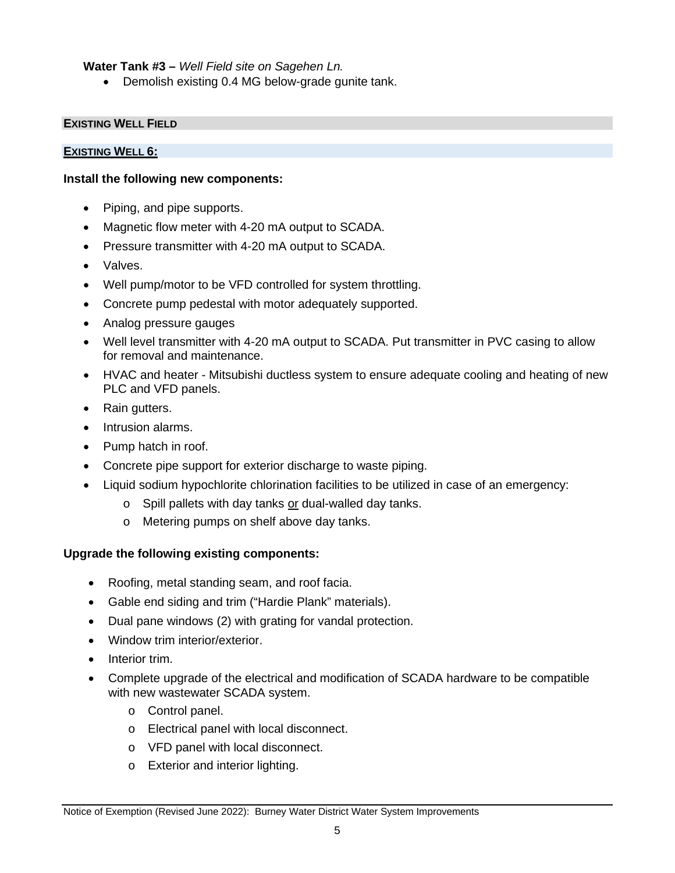**Water Tank #3 –** *Well Field site on Sagehen Ln.*

• Demolish existing 0.4 MG below-grade gunite tank.

#### **EXISTING WELL FIELD**

#### **EXISTING WELL 6:**

#### **Install the following new components:**

- Piping, and pipe supports.
- Magnetic flow meter with 4-20 mA output to SCADA.
- Pressure transmitter with 4-20 mA output to SCADA.
- Valves.
- Well pump/motor to be VFD controlled for system throttling.
- Concrete pump pedestal with motor adequately supported.
- Analog pressure gauges
- Well level transmitter with 4-20 mA output to SCADA. Put transmitter in PVC casing to allow for removal and maintenance.
- HVAC and heater Mitsubishi ductless system to ensure adequate cooling and heating of new PLC and VFD panels.
- Rain gutters.
- Intrusion alarms.
- Pump hatch in roof.
- Concrete pipe support for exterior discharge to waste piping.
- Liquid sodium hypochlorite chlorination facilities to be utilized in case of an emergency:
	- $\circ$  Spill pallets with day tanks or dual-walled day tanks.
	- o Metering pumps on shelf above day tanks.

#### **Upgrade the following existing components:**

- Roofing, metal standing seam, and roof facia.
- Gable end siding and trim ("Hardie Plank" materials).
- Dual pane windows (2) with grating for vandal protection.
- Window trim interior/exterior.
- Interior trim.
- Complete upgrade of the electrical and modification of SCADA hardware to be compatible with new wastewater SCADA system.
	- o Control panel.
	- o Electrical panel with local disconnect.
	- o VFD panel with local disconnect.
	- o Exterior and interior lighting.

Notice of Exemption (Revised June 2022): Burney Water District Water System Improvements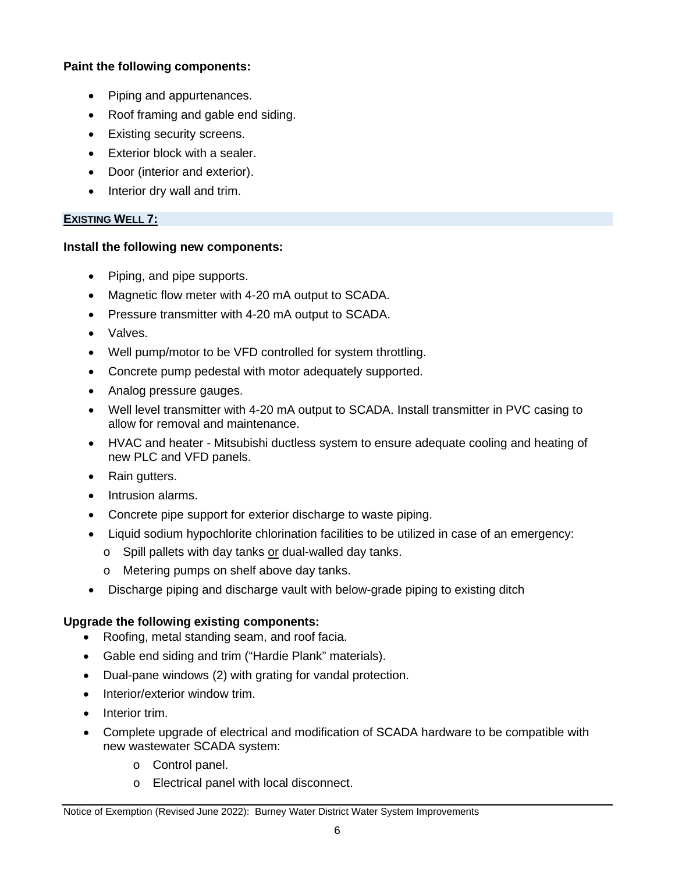## **Paint the following components:**

- Piping and appurtenances.
- Roof framing and gable end siding.
- Existing security screens.
- Exterior block with a sealer.
- Door (interior and exterior).
- Interior dry wall and trim.

## **EXISTING WELL 7:**

## **Install the following new components:**

- Piping, and pipe supports.
- Magnetic flow meter with 4-20 mA output to SCADA.
- Pressure transmitter with 4-20 mA output to SCADA.
- Valves.
- Well pump/motor to be VFD controlled for system throttling.
- Concrete pump pedestal with motor adequately supported.
- Analog pressure gauges.
- Well level transmitter with 4-20 mA output to SCADA. Install transmitter in PVC casing to allow for removal and maintenance.
- HVAC and heater Mitsubishi ductless system to ensure adequate cooling and heating of new PLC and VFD panels.
- Rain gutters.
- Intrusion alarms.
- Concrete pipe support for exterior discharge to waste piping.
- Liquid sodium hypochlorite chlorination facilities to be utilized in case of an emergency:
	- o Spill pallets with day tanks or dual-walled day tanks.
	- o Metering pumps on shelf above day tanks.
- Discharge piping and discharge vault with below-grade piping to existing ditch

## **Upgrade the following existing components:**

- Roofing, metal standing seam, and roof facia.
- Gable end siding and trim ("Hardie Plank" materials).
- Dual-pane windows (2) with grating for vandal protection.
- Interior/exterior window trim.
- Interior trim.
- Complete upgrade of electrical and modification of SCADA hardware to be compatible with new wastewater SCADA system:
	- o Control panel.
	- o Electrical panel with local disconnect.

Notice of Exemption (Revised June 2022): Burney Water District Water System Improvements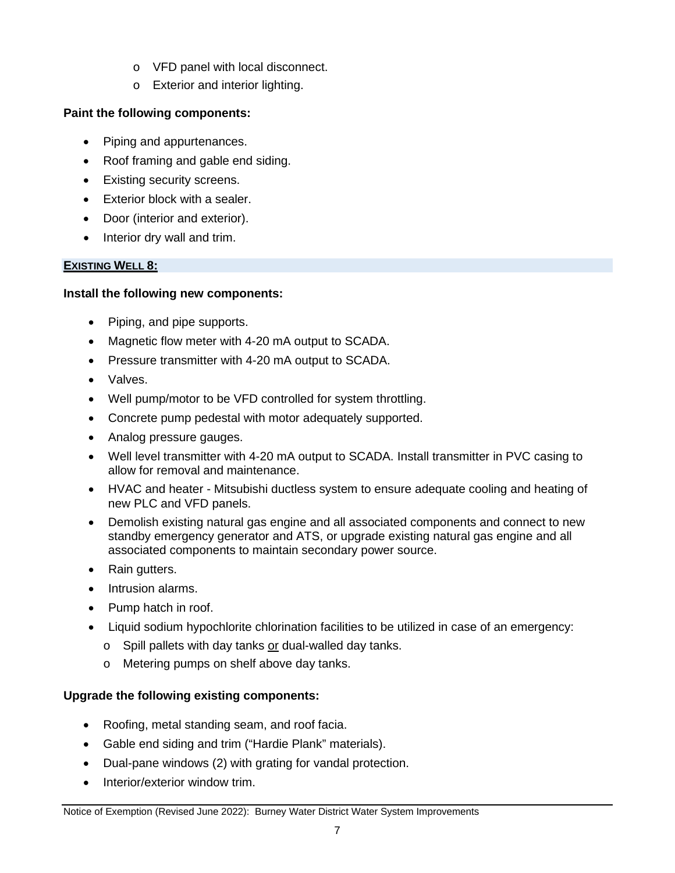- o VFD panel with local disconnect.
- o Exterior and interior lighting.

## **Paint the following components:**

- Piping and appurtenances.
- Roof framing and gable end siding.
- Existing security screens.
- Exterior block with a sealer.
- Door (interior and exterior).
- Interior dry wall and trim.

## **EXISTING WELL 8:**

## **Install the following new components:**

- Piping, and pipe supports.
- Magnetic flow meter with 4-20 mA output to SCADA.
- Pressure transmitter with 4-20 mA output to SCADA.
- Valves.
- Well pump/motor to be VFD controlled for system throttling.
- Concrete pump pedestal with motor adequately supported.
- Analog pressure gauges.
- Well level transmitter with 4-20 mA output to SCADA. Install transmitter in PVC casing to allow for removal and maintenance.
- HVAC and heater Mitsubishi ductless system to ensure adequate cooling and heating of new PLC and VFD panels.
- Demolish existing natural gas engine and all associated components and connect to new standby emergency generator and ATS, or upgrade existing natural gas engine and all associated components to maintain secondary power source.
- Rain gutters.
- Intrusion alarms.
- Pump hatch in roof.
- Liquid sodium hypochlorite chlorination facilities to be utilized in case of an emergency:
	- o Spill pallets with day tanks or dual-walled day tanks.
	- o Metering pumps on shelf above day tanks.

## **Upgrade the following existing components:**

- Roofing, metal standing seam, and roof facia.
- Gable end siding and trim ("Hardie Plank" materials).
- Dual-pane windows (2) with grating for vandal protection.
- Interior/exterior window trim.

Notice of Exemption (Revised June 2022): Burney Water District Water System Improvements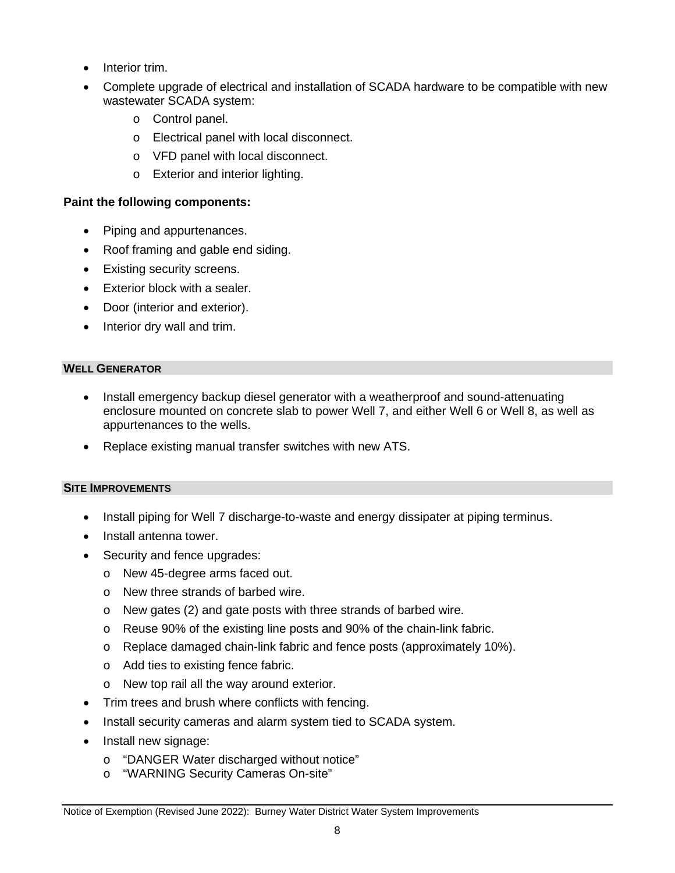- Interior trim.
- Complete upgrade of electrical and installation of SCADA hardware to be compatible with new wastewater SCADA system:
	- o Control panel.
	- o Electrical panel with local disconnect.
	- o VFD panel with local disconnect.
	- o Exterior and interior lighting.

## **Paint the following components:**

- Piping and appurtenances.
- Roof framing and gable end siding.
- Existing security screens.
- Exterior block with a sealer.
- Door (interior and exterior).
- Interior dry wall and trim.

## **WELL GENERATOR**

- Install emergency backup diesel generator with a weatherproof and sound-attenuating enclosure mounted on concrete slab to power Well 7, and either Well 6 or Well 8, as well as appurtenances to the wells.
- Replace existing manual transfer switches with new ATS.

## **SITE IMPROVEMENTS**

- Install piping for Well 7 discharge-to-waste and energy dissipater at piping terminus.
- Install antenna tower.
- Security and fence upgrades:
	- o New 45-degree arms faced out.
	- o New three strands of barbed wire.
	- o New gates (2) and gate posts with three strands of barbed wire.
	- o Reuse 90% of the existing line posts and 90% of the chain-link fabric.
	- o Replace damaged chain-link fabric and fence posts (approximately 10%).
	- o Add ties to existing fence fabric.
	- o New top rail all the way around exterior.
- Trim trees and brush where conflicts with fencing.
- Install security cameras and alarm system tied to SCADA system.
- Install new signage:
	- o "DANGER Water discharged without notice"
	- o "WARNING Security Cameras On-site"

Notice of Exemption (Revised June 2022): Burney Water District Water System Improvements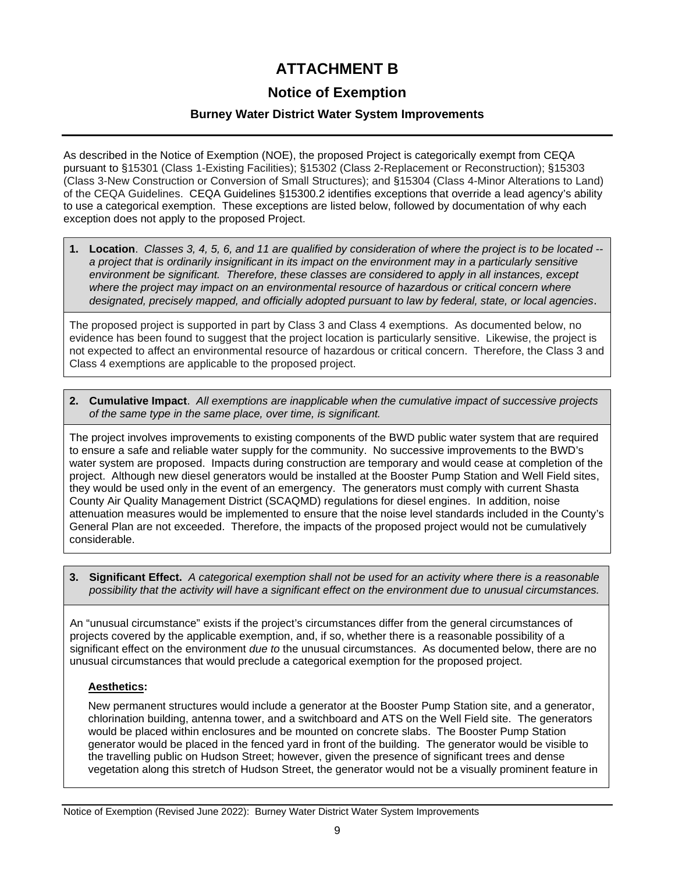## **ATTACHMENT B**

## **Notice of Exemption**

## **Burney Water District Water System Improvements**

As described in the Notice of Exemption (NOE), the proposed Project is categorically exempt from CEQA pursuant to §15301 (Class 1-Existing Facilities); §15302 (Class 2-Replacement or Reconstruction); §15303 (Class 3-New Construction or Conversion of Small Structures); and §15304 (Class 4-Minor Alterations to Land) of the CEQA Guidelines. CEQA Guidelines §15300.2 identifies exceptions that override a lead agency's ability to use a categorical exemption. These exceptions are listed below, followed by documentation of why each exception does not apply to the proposed Project.

**1. Location**. *Classes 3, 4, 5, 6, and 11 are qualified by consideration of where the project is to be located - a project that is ordinarily insignificant in its impact on the environment may in a particularly sensitive environment be significant. Therefore, these classes are considered to apply in all instances, except*  where the project may impact on an environmental resource of hazardous or critical concern where *designated, precisely mapped, and officially adopted pursuant to law by federal, state, or local agencies*.

The proposed project is supported in part by Class 3 and Class 4 exemptions. As documented below, no evidence has been found to suggest that the project location is particularly sensitive. Likewise, the project is not expected to affect an environmental resource of hazardous or critical concern. Therefore, the Class 3 and Class 4 exemptions are applicable to the proposed project.

**2. Cumulative Impact**. *All exemptions are inapplicable when the cumulative impact of successive projects of the same type in the same place, over time, is significant.* 

The project involves improvements to existing components of the BWD public water system that are required to ensure a safe and reliable water supply for the community. No successive improvements to the BWD's water system are proposed. Impacts during construction are temporary and would cease at completion of the project. Although new diesel generators would be installed at the Booster Pump Station and Well Field sites, they would be used only in the event of an emergency. The generators must comply with current Shasta County Air Quality Management District (SCAQMD) regulations for diesel engines. In addition, noise attenuation measures would be implemented to ensure that the noise level standards included in the County's General Plan are not exceeded. Therefore, the impacts of the proposed project would not be cumulatively considerable.

**3. Significant Effect.** *A categorical exemption shall not be used for an activity where there is a reasonable possibility that the activity will have a significant effect on the environment due to unusual circumstances.* 

An "unusual circumstance" exists if the project's circumstances differ from the general circumstances of projects covered by the applicable exemption, and, if so, whether there is a reasonable possibility of a significant effect on the environment *due to* the unusual circumstances. As documented below, there are no unusual circumstances that would preclude a categorical exemption for the proposed project.

## **Aesthetics:**

New permanent structures would include a generator at the Booster Pump Station site, and a generator, chlorination building, antenna tower, and a switchboard and ATS on the Well Field site. The generators would be placed within enclosures and be mounted on concrete slabs. The Booster Pump Station generator would be placed in the fenced yard in front of the building. The generator would be visible to the travelling public on Hudson Street; however, given the presence of significant trees and dense vegetation along this stretch of Hudson Street, the generator would not be a visually prominent feature in

Notice of Exemption (Revised June 2022): Burney Water District Water System Improvements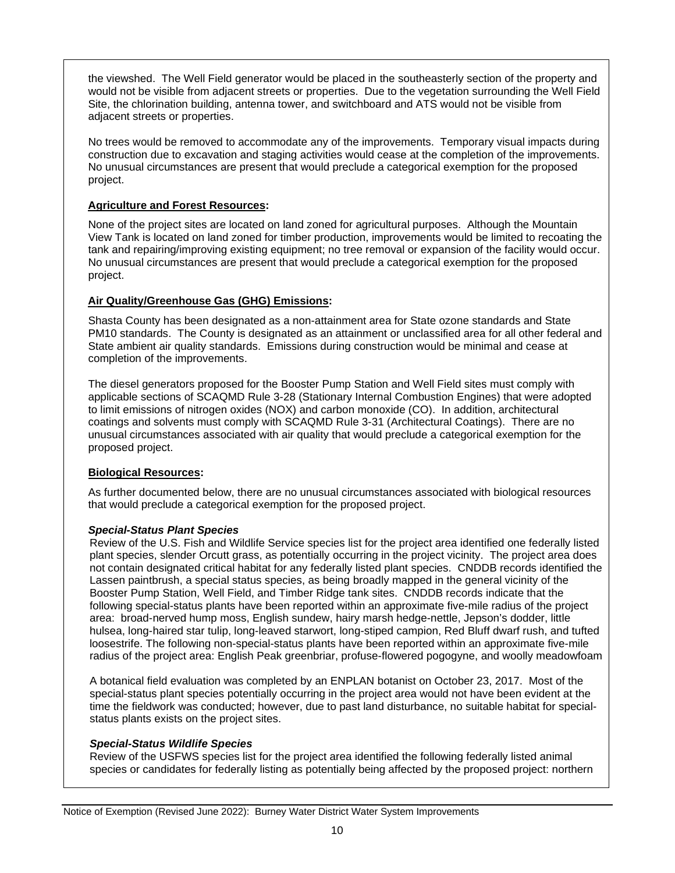the viewshed. The Well Field generator would be placed in the southeasterly section of the property and would not be visible from adjacent streets or properties. Due to the vegetation surrounding the Well Field Site, the chlorination building, antenna tower, and switchboard and ATS would not be visible from adjacent streets or properties.

No trees would be removed to accommodate any of the improvements. Temporary visual impacts during construction due to excavation and staging activities would cease at the completion of the improvements. No unusual circumstances are present that would preclude a categorical exemption for the proposed project.

#### **Agriculture and Forest Resources:**

None of the project sites are located on land zoned for agricultural purposes. Although the Mountain View Tank is located on land zoned for timber production, improvements would be limited to recoating the tank and repairing/improving existing equipment; no tree removal or expansion of the facility would occur. No unusual circumstances are present that would preclude a categorical exemption for the proposed project.

#### **Air Quality/Greenhouse Gas (GHG) Emissions:**

Shasta County has been designated as a non-attainment area for State ozone standards and State PM10 standards. The County is designated as an attainment or unclassified area for all other federal and State ambient air quality standards. Emissions during construction would be minimal and cease at completion of the improvements.

The diesel generators proposed for the Booster Pump Station and Well Field sites must comply with applicable sections of SCAQMD Rule 3-28 (Stationary Internal Combustion Engines) that were adopted to limit emissions of nitrogen oxides (NOX) and carbon monoxide (CO). In addition, architectural coatings and solvents must comply with SCAQMD Rule 3-31 (Architectural Coatings). There are no unusual circumstances associated with air quality that would preclude a categorical exemption for the proposed project.

## **Biological Resources:**

As further documented below, there are no unusual circumstances associated with biological resources that would preclude a categorical exemption for the proposed project.

## *Special-Status Plant Species*

Review of the U.S. Fish and Wildlife Service species list for the project area identified one federally listed plant species, slender Orcutt grass, as potentially occurring in the project vicinity. The project area does not contain designated critical habitat for any federally listed plant species. CNDDB records identified the Lassen paintbrush, a special status species, as being broadly mapped in the general vicinity of the Booster Pump Station, Well Field, and Timber Ridge tank sites. CNDDB records indicate that the following special-status plants have been reported within an approximate five-mile radius of the project area: broad-nerved hump moss, English sundew, hairy marsh hedge-nettle, Jepson's dodder, little hulsea, long-haired star tulip, long-leaved starwort, long-stiped campion, Red Bluff dwarf rush, and tufted loosestrife. The following non-special-status plants have been reported within an approximate five-mile radius of the project area: English Peak greenbriar, profuse-flowered pogogyne, and woolly meadowfoam

A botanical field evaluation was completed by an ENPLAN botanist on October 23, 2017. Most of the special-status plant species potentially occurring in the project area would not have been evident at the time the fieldwork was conducted; however, due to past land disturbance, no suitable habitat for specialstatus plants exists on the project sites.

#### *Special-Status Wildlife Species*

Review of the USFWS species list for the project area identified the following federally listed animal species or candidates for federally listing as potentially being affected by the proposed project: northern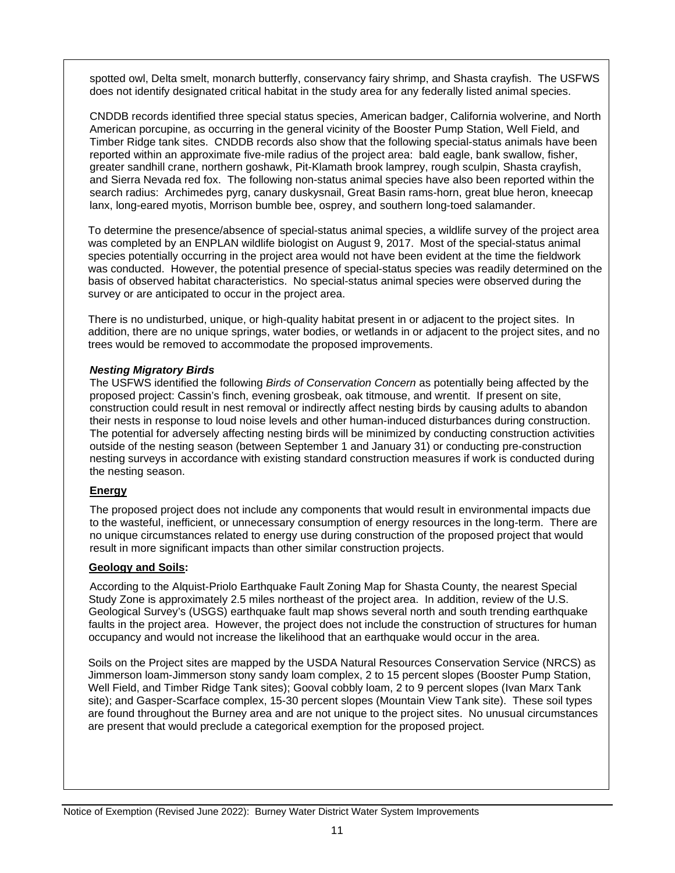spotted owl, Delta smelt, monarch butterfly, conservancy fairy shrimp, and Shasta crayfish. The USFWS does not identify designated critical habitat in the study area for any federally listed animal species.

CNDDB records identified three special status species, American badger, California wolverine, and North American porcupine, as occurring in the general vicinity of the Booster Pump Station, Well Field, and Timber Ridge tank sites. CNDDB records also show that the following special-status animals have been reported within an approximate five-mile radius of the project area: bald eagle, bank swallow, fisher, greater sandhill crane, northern goshawk, Pit-Klamath brook lamprey, rough sculpin, Shasta crayfish, and Sierra Nevada red fox. The following non-status animal species have also been reported within the search radius: Archimedes pyrg, canary duskysnail, Great Basin rams-horn, great blue heron, kneecap lanx, long-eared myotis, Morrison bumble bee, osprey, and southern long-toed salamander.

To determine the presence/absence of special-status animal species, a wildlife survey of the project area was completed by an ENPLAN wildlife biologist on August 9, 2017. Most of the special-status animal species potentially occurring in the project area would not have been evident at the time the fieldwork was conducted. However, the potential presence of special-status species was readily determined on the basis of observed habitat characteristics. No special-status animal species were observed during the survey or are anticipated to occur in the project area.

There is no undisturbed, unique, or high-quality habitat present in or adjacent to the project sites. In addition, there are no unique springs, water bodies, or wetlands in or adjacent to the project sites, and no trees would be removed to accommodate the proposed improvements.

#### *Nesting Migratory Birds*

The USFWS identified the following *Birds of Conservation Concern* as potentially being affected by the proposed project: Cassin's finch, evening grosbeak, oak titmouse, and wrentit. If present on site, construction could result in nest removal or indirectly affect nesting birds by causing adults to abandon their nests in response to loud noise levels and other human-induced disturbances during construction. The potential for adversely affecting nesting birds will be minimized by conducting construction activities outside of the nesting season (between September 1 and January 31) or conducting pre-construction nesting surveys in accordance with existing standard construction measures if work is conducted during the nesting season.

#### **Energy**

The proposed project does not include any components that would result in environmental impacts due to the wasteful, inefficient, or unnecessary consumption of energy resources in the long-term. There are no unique circumstances related to energy use during construction of the proposed project that would result in more significant impacts than other similar construction projects.

## **Geology and Soils:**

According to the Alquist-Priolo Earthquake Fault Zoning Map for Shasta County, the nearest Special Study Zone is approximately 2.5 miles northeast of the project area. In addition, review of the U.S. Geological Survey's (USGS) earthquake fault map shows several north and south trending earthquake faults in the project area. However, the project does not include the construction of structures for human occupancy and would not increase the likelihood that an earthquake would occur in the area.

Soils on the Project sites are mapped by the USDA Natural Resources Conservation Service (NRCS) as Jimmerson loam-Jimmerson stony sandy loam complex, 2 to 15 percent slopes (Booster Pump Station, Well Field, and Timber Ridge Tank sites); Gooval cobbly loam, 2 to 9 percent slopes (Ivan Marx Tank site); and Gasper-Scarface complex, 15-30 percent slopes (Mountain View Tank site). These soil types are found throughout the Burney area and are not unique to the project sites. No unusual circumstances are present that would preclude a categorical exemption for the proposed project.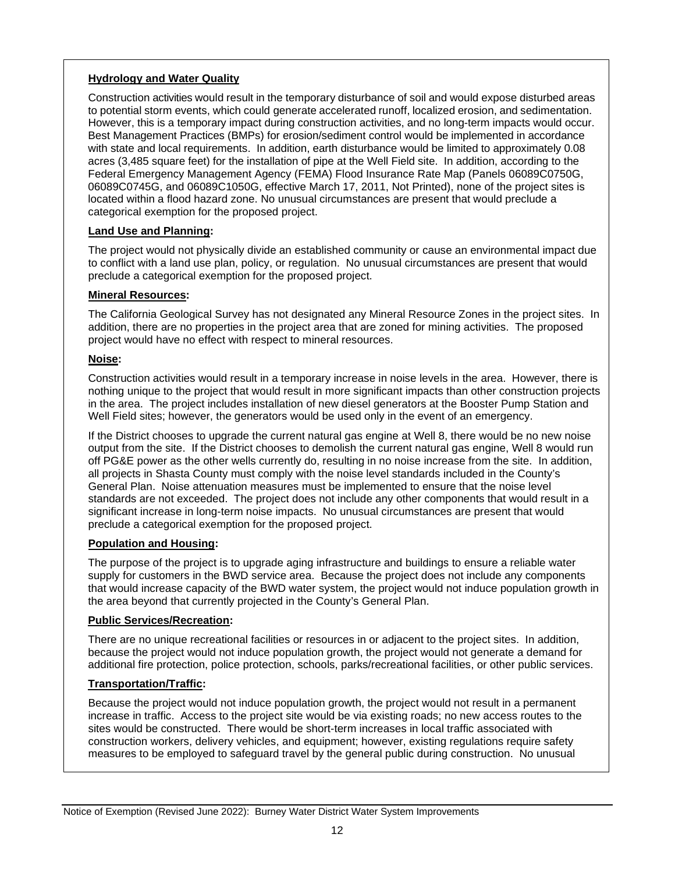#### **Hydrology and Water Quality**

Construction activities would result in the temporary disturbance of soil and would expose disturbed areas to potential storm events, which could generate accelerated runoff, localized erosion, and sedimentation. However, this is a temporary impact during construction activities, and no long-term impacts would occur. Best Management Practices (BMPs) for erosion/sediment control would be implemented in accordance with state and local requirements. In addition, earth disturbance would be limited to approximately 0.08 acres (3,485 square feet) for the installation of pipe at the Well Field site. In addition, according to the Federal Emergency Management Agency (FEMA) Flood Insurance Rate Map (Panels 06089C0750G, 06089C0745G, and 06089C1050G, effective March 17, 2011, Not Printed), none of the project sites is located within a flood hazard zone. No unusual circumstances are present that would preclude a categorical exemption for the proposed project.

#### **Land Use and Planning:**

The project would not physically divide an established community or cause an environmental impact due to conflict with a land use plan, policy, or regulation. No unusual circumstances are present that would preclude a categorical exemption for the proposed project.

#### **Mineral Resources:**

The California Geological Survey has not designated any Mineral Resource Zones in the project sites. In addition, there are no properties in the project area that are zoned for mining activities. The proposed project would have no effect with respect to mineral resources.

#### **Noise:**

Construction activities would result in a temporary increase in noise levels in the area. However, there is nothing unique to the project that would result in more significant impacts than other construction projects in the area. The project includes installation of new diesel generators at the Booster Pump Station and Well Field sites; however, the generators would be used only in the event of an emergency.

If the District chooses to upgrade the current natural gas engine at Well 8, there would be no new noise output from the site. If the District chooses to demolish the current natural gas engine, Well 8 would run off PG&E power as the other wells currently do, resulting in no noise increase from the site. In addition, all projects in Shasta County must comply with the noise level standards included in the County's General Plan. Noise attenuation measures must be implemented to ensure that the noise level standards are not exceeded. The project does not include any other components that would result in a significant increase in long-term noise impacts. No unusual circumstances are present that would preclude a categorical exemption for the proposed project.

#### **Population and Housing:**

The purpose of the project is to upgrade aging infrastructure and buildings to ensure a reliable water supply for customers in the BWD service area. Because the project does not include any components that would increase capacity of the BWD water system, the project would not induce population growth in the area beyond that currently projected in the County's General Plan.

#### **Public Services/Recreation:**

There are no unique recreational facilities or resources in or adjacent to the project sites. In addition, because the project would not induce population growth, the project would not generate a demand for additional fire protection, police protection, schools, parks/recreational facilities, or other public services.

#### **Transportation/Traffic:**

Because the project would not induce population growth, the project would not result in a permanent increase in traffic. Access to the project site would be via existing roads; no new access routes to the sites would be constructed. There would be short-term increases in local traffic associated with construction workers, delivery vehicles, and equipment; however, existing regulations require safety measures to be employed to safeguard travel by the general public during construction. No unusual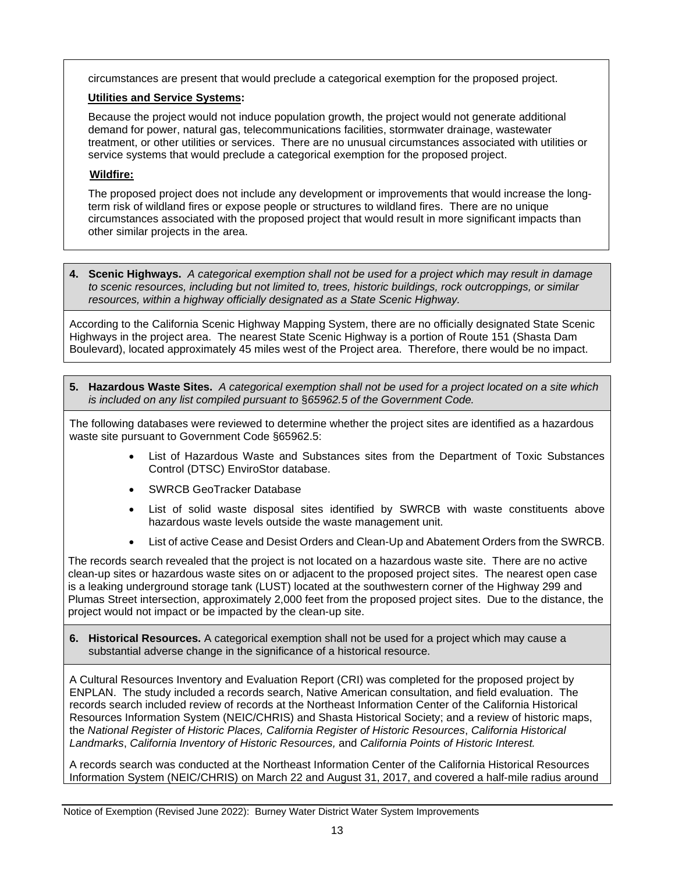circumstances are present that would preclude a categorical exemption for the proposed project.

## **Utilities and Service Systems:**

Because the project would not induce population growth, the project would not generate additional demand for power, natural gas, telecommunications facilities, stormwater drainage, wastewater treatment, or other utilities or services. There are no unusual circumstances associated with utilities or service systems that would preclude a categorical exemption for the proposed project.

## **Wildfire:**

The proposed project does not include any development or improvements that would increase the longterm risk of wildland fires or expose people or structures to wildland fires. There are no unique circumstances associated with the proposed project that would result in more significant impacts than other similar projects in the area.

**4. Scenic Highways.** *A categorical exemption shall not be used for a project which may result in damage to scenic resources, including but not limited to, trees, historic buildings, rock outcroppings, or similar resources, within a highway officially designated as a State Scenic Highway.*

According to the California Scenic Highway Mapping System, there are no officially designated State Scenic Highways in the project area. The nearest State Scenic Highway is a portion of Route 151 (Shasta Dam Boulevard), located approximately 45 miles west of the Project area. Therefore, there would be no impact.

**5. Hazardous Waste Sites.** *A categorical exemption shall not be used for a project located on a site which is included on any list compiled pursuant to* §*65962.5 of the Government Code.* 

The following databases were reviewed to determine whether the project sites are identified as a hazardous waste site pursuant to Government Code §65962.5:

- List of Hazardous Waste and Substances sites from the Department of Toxic Substances Control (DTSC) EnviroStor database.
- SWRCB GeoTracker Database
- List of solid waste disposal sites identified by SWRCB with waste constituents above hazardous waste levels outside the waste management unit.
- List of active Cease and Desist Orders and Clean-Up and [Abatement](http://www.calepa.ca.gov/files/2016/10/SiteCleanup-CorteseList-CDOCAOList.xlsx) Orders from the SWRCB.

The records search revealed that the project is not located on a hazardous waste site. There are no active clean-up sites or hazardous waste sites on or adjacent to the proposed project sites. The nearest open case is a leaking underground storage tank (LUST) located at the southwestern corner of the Highway 299 and Plumas Street intersection, approximately 2,000 feet from the proposed project sites. Due to the distance, the project would not impact or be impacted by the clean-up site.

**6. Historical Resources.** A categorical exemption shall not be used for a project which may cause a substantial adverse change in the significance of a historical resource.

A Cultural Resources Inventory and Evaluation Report (CRI) was completed for the proposed project by ENPLAN. The study included a records search, Native American consultation, and field evaluation. The records search included review of records at the Northeast Information Center of the California Historical Resources Information System (NEIC/CHRIS) and Shasta Historical Society; and a review of historic maps, the *National Register of Historic Places, California Register of Historic Resources*, *California Historical Landmarks*, *California Inventory of Historic Resources,* and *California Points of Historic Interest.* 

A records search was conducted at the Northeast Information Center of the California Historical Resources Information System (NEIC/CHRIS) on March 22 and August 31, 2017, and covered a half-mile radius around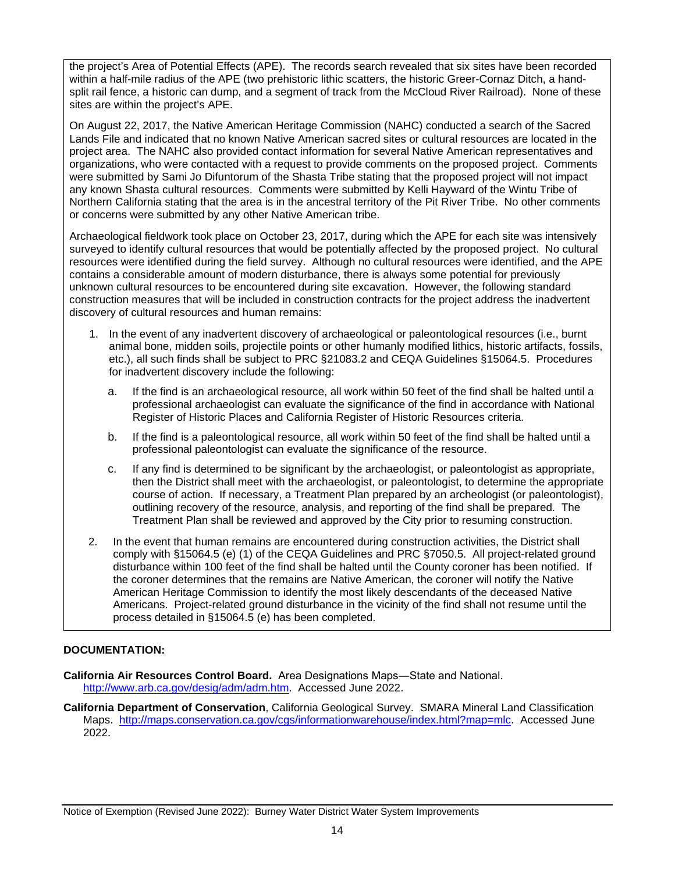the project's Area of Potential Effects (APE). The records search revealed that six sites have been recorded within a half-mile radius of the APE (two prehistoric lithic scatters, the historic Greer-Cornaz Ditch, a handsplit rail fence, a historic can dump, and a segment of track from the McCloud River Railroad). None of these sites are within the project's APE.

On August 22, 2017, the Native American Heritage Commission (NAHC) conducted a search of the Sacred Lands File and indicated that no known Native American sacred sites or cultural resources are located in the project area. The NAHC also provided contact information for several Native American representatives and organizations, who were contacted with a request to provide comments on the proposed project. Comments were submitted by Sami Jo Difuntorum of the Shasta Tribe stating that the proposed project will not impact any known Shasta cultural resources. Comments were submitted by Kelli Hayward of the Wintu Tribe of Northern California stating that the area is in the ancestral territory of the Pit River Tribe. No other comments or concerns were submitted by any other Native American tribe.

Archaeological fieldwork took place on October 23, 2017, during which the APE for each site was intensively surveyed to identify cultural resources that would be potentially affected by the proposed project. No cultural resources were identified during the field survey. Although no cultural resources were identified, and the APE contains a considerable amount of modern disturbance, there is always some potential for previously unknown cultural resources to be encountered during site excavation. However, the following standard construction measures that will be included in construction contracts for the project address the inadvertent discovery of cultural resources and human remains:

- 1. In the event of any inadvertent discovery of archaeological or paleontological resources (i.e., burnt animal bone, midden soils, projectile points or other humanly modified lithics, historic artifacts, fossils, etc.), all such finds shall be subject to PRC §21083.2 and CEQA Guidelines §15064.5. Procedures for inadvertent discovery include the following:
	- a. If the find is an archaeological resource, all work within 50 feet of the find shall be halted until a professional archaeologist can evaluate the significance of the find in accordance with National Register of Historic Places and California Register of Historic Resources criteria.
	- b. If the find is a paleontological resource, all work within 50 feet of the find shall be halted until a professional paleontologist can evaluate the significance of the resource.
	- c. If any find is determined to be significant by the archaeologist, or paleontologist as appropriate, then the District shall meet with the archaeologist, or paleontologist, to determine the appropriate course of action. If necessary, a Treatment Plan prepared by an archeologist (or paleontologist), outlining recovery of the resource, analysis, and reporting of the find shall be prepared. The Treatment Plan shall be reviewed and approved by the City prior to resuming construction.
- 2. In the event that human remains are encountered during construction activities, the District shall comply with §15064.5 (e) (1) of the CEQA Guidelines and PRC §7050.5. All project-related ground disturbance within 100 feet of the find shall be halted until the County coroner has been notified. If the coroner determines that the remains are Native American, the coroner will notify the Native American Heritage Commission to identify the most likely descendants of the deceased Native Americans. Project-related ground disturbance in the vicinity of the find shall not resume until the process detailed in §15064.5 (e) has been completed.

#### **DOCUMENTATION:**

- **California Air Resources Control Board.** Area Designations Maps―State and National. [http://www.arb.ca.gov/desig/adm/adm.htm.](http://www.arb.ca.gov/desig/adm/adm.htm) Accessed June 2022.
- **California Department of Conservation**, California Geological Survey. SMARA Mineral Land Classification Maps. [http://maps.conservation.ca.gov/cgs/informationwarehouse/index.html?map=mlc.](http://maps.conservation.ca.gov/cgs/informationwarehouse/index.html?map=mlc) Accessed June 2022.